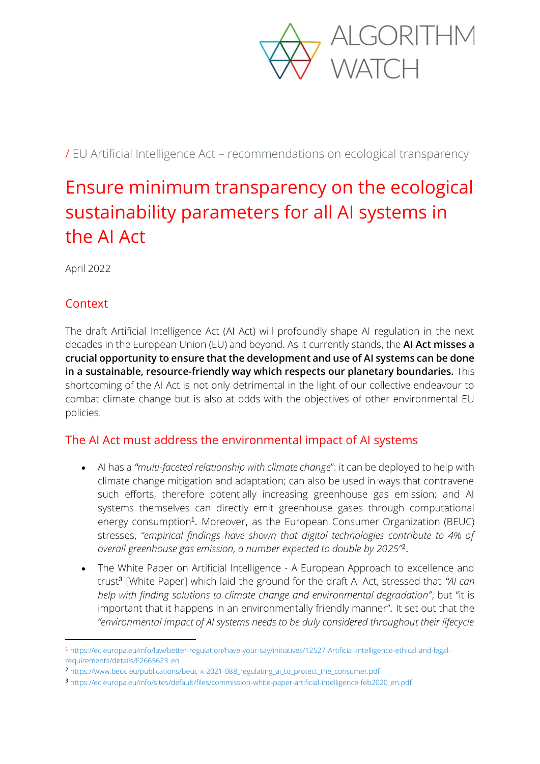

/ EU Artificial Intelligence Act – recommendations on ecological transparency

## Ensure minimum transparency on the ecological sustainability parameters for all AI systems in the AI Act

April 2022

## **Context**

The draft Artificial Intelligence Act (AI Act) will profoundly shape AI regulation in the next decades in the European Union (EU) and beyond. As it currently stands, the **AI Act misses a crucial opportunity to ensure that the development and use of AI systems can be done in a sustainable, resource-friendly way which respects our planetary boundaries.** This shortcoming of the AI Act is not only detrimental in the light of our collective endeavour to combat climate change but is also at odds with the objectives of other environmental EU policies.

## The AI Act must address the environmental impact of AI systems

- AI has a *"multi-faceted relationship with climate change*": it can be deployed to help with climate change mitigation and adaptation; can also be used in ways that contravene such efforts, therefore potentially increasing greenhouse gas emission; and AI systems themselves can directly emit greenhouse gases through computational energy consumption<sup>1</sup>. Moreover, as the European Consumer Organization (BEUC) stresses, *"empirical findings have shown that digital technologies contribute to 4% of overall greenhouse gas emission, a number expected to double by 2025"*<sup>2</sup> .
- The White Paper on Artificial Intelligence A European Approach to excellence and trust<sup>3</sup> [White Paper] which laid the ground for the draft AI Act, stressed that *"AI can help with finding solutions to climate change and environmental degradation"*, but "it is important that it happens in an environmentally friendly manner"*.* It set out that the *"environmental impact of AI systems needs to be duly considered throughout their lifecycle*

<sup>1</sup> [https://ec.europa.eu/info/law/better-regulation/have-your-say/initiatives/12527-Artificial-intelligence-ethical-and-legal](https://ec.europa.eu/info/law/better-regulation/have-your-say/initiatives/12527-Artificial-intelligence-ethical-and-legal-requirements/details/F2665623_en)[requirements/details/F2665623\\_en](https://ec.europa.eu/info/law/better-regulation/have-your-say/initiatives/12527-Artificial-intelligence-ethical-and-legal-requirements/details/F2665623_en)

<sup>2</sup> [https://www.beuc.eu/publications/beuc-x-2021-088\\_regulating\\_ai\\_to\\_protect\\_the\\_consumer.pdf](https://www.beuc.eu/publications/beuc-x-2021-088_regulating_ai_to_protect_the_consumer.pdf)

<sup>3</sup> [https://ec.europa.eu/info/sites/default/files/commission-white-paper-artificial-intelligence-feb2020\\_en.pdf](https://ec.europa.eu/info/sites/default/files/commission-white-paper-artificial-intelligence-feb2020_en.pdf)